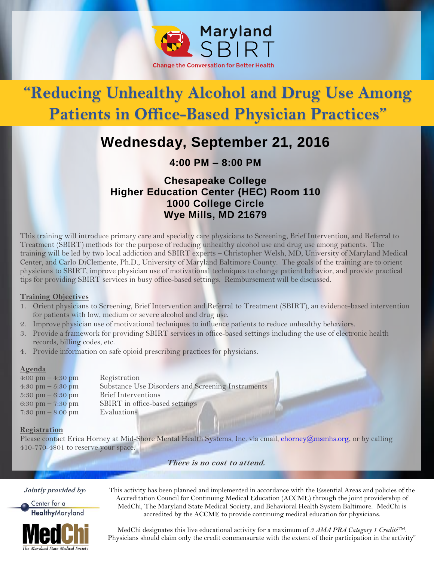

# **"Reducing Unhealthy Alcohol and Drug Use Among Patients in Office-Based Physician Practices"**

# **Wednesday, September 21, 2016**

**4:00 PM – 8:00 PM**

### **Chesapeake College Higher Education Center (HEC) Room 110 1000 College Circle Wye Mills, MD 21679**

This training will introduce primary care and specialty care physicians to Screening, Brief Intervention, and Referral to Treatment (SBIRT) methods for the purpose of reducing unhealthy alcohol use and drug use among patients. The training will be led by two local addiction and SBIRT experts – Christopher Welsh, MD, University of Maryland Medical Center, and Carlo DiClemente, Ph.D., University of Maryland Baltimore County. The goals of the training are to orient physicians to SBIRT, improve physician use of motivational techniques to change patient behavior, and provide practical tips for providing SBIRT services in busy office-based settings. Reimbursement will be discussed.

#### **Training Objectives**

- 1. Orient physicians to Screening, Brief Intervention and Referral to Treatment (SBIRT), an evidence-based intervention for patients with low, medium or severe alcohol and drug use.
- 2. Improve physician use of motivational techniques to influence patients to reduce unhealthy behaviors.
- 3. Provide a framework for providing SBIRT services in office-based settings including the use of electronic health records, billing codes, etc.
- 4. Provide information on safe opioid prescribing practices for physicians.

#### **Agenda**

| 4:00 pm $-$ 4:30 pm                 | Registration                                      |
|-------------------------------------|---------------------------------------------------|
| 4:30 pm $-$ 5:30 pm                 | Substance Use Disorders and Screening Instruments |
| $5:30 \text{ pm} - 6:30 \text{ pm}$ | Brief Interventions                               |
| 6:30 pm $-7:30$ pm                  | SBIRT in office-based settings                    |
| 7:30 pm $-$ 8:00 pm                 | Evaluations                                       |
|                                     |                                                   |

#### **Registration**

Please contact Erica Horney at Mid-Shore Mental Health Systems, Inc. via email, chorney@msmhs.org, or by calling 410-770-4801 to reserve your space.

**There is no cost to attend.** 

**Jointly provided by:**

Center for a **Healthy**Maryland



This activity has been planned and implemented in accordance with the Essential Areas and policies of the Accreditation Council for Continuing Medical Education (ACCME) through the joint providership of MedChi, The Maryland State Medical Society, and Behavioral Health System Baltimore. MedChi is accredited by the ACCME to provide continuing medical education for physicians.

MedChi designates this live educational activity for a maximum of *3 AMA PRA Category 1 Credits*TM. Physicians should claim only the credit commensurate with the extent of their participation in the activity"